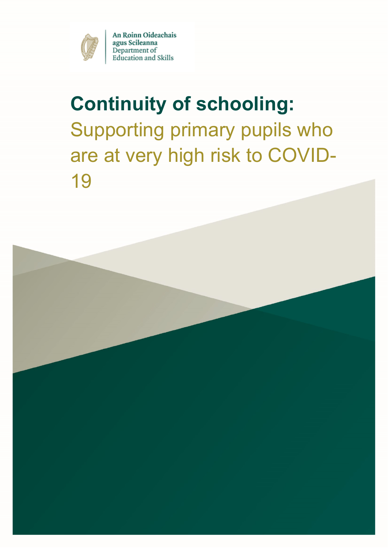

An Roinn Oideachais agus Scileanna Department of **Education** and Skills

# **Continuity of schooling:** Supporting primary pupils who are at very high risk to COVID-19

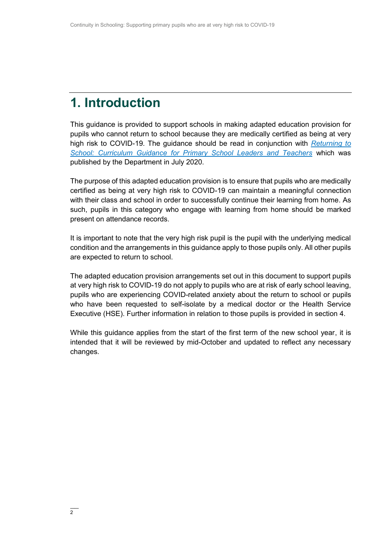### **1. Introduction**

This guidance is provided to support schools in making adapted education provision for pupils who cannot return to school because they are medically certified as being at very high risk to COVID-19. The guidance should be read in conjunction with *[Returning to](https://www.gov.ie/en/publication/a0bff-reopening-our-primary-and-special-schools/#additional-guidelines-and-procedures)  [School: Curriculum Guidance for Primary School Leaders and Teachers](https://www.gov.ie/en/publication/a0bff-reopening-our-primary-and-special-schools/#additional-guidelines-and-procedures)* which was published by the Department in July 2020.

The purpose of this adapted education provision is to ensure that pupils who are medically certified as being at very high risk to COVID-19 can maintain a meaningful connection with their class and school in order to successfully continue their learning from home. As such, pupils in this category who engage with learning from home should be marked present on attendance records.

It is important to note that the very high risk pupil is the pupil with the underlying medical condition and the arrangements in this guidance apply to those pupils only. All other pupils are expected to return to school.

The adapted education provision arrangements set out in this document to support pupils at very high risk to COVID-19 do not apply to pupils who are at risk of early school leaving, pupils who are experiencing COVID-related anxiety about the return to school or pupils who have been requested to self-isolate by a medical doctor or the Health Service Executive (HSE). Further information in relation to those pupils is provided in section 4.

While this guidance applies from the start of the first term of the new school year, it is intended that it will be reviewed by mid-October and updated to reflect any necessary changes.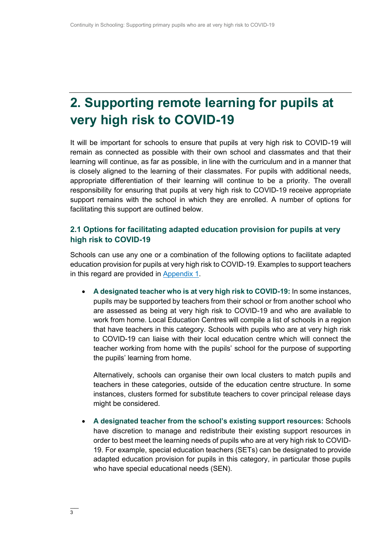## **2. Supporting remote learning for pupils at very high risk to COVID-19**

It will be important for schools to ensure that pupils at very high risk to COVID-19 will remain as connected as possible with their own school and classmates and that their learning will continue, as far as possible, in line with the curriculum and in a manner that is closely aligned to the learning of their classmates. For pupils with additional needs, appropriate differentiation of their learning will continue to be a priority. The overall responsibility for ensuring that pupils at very high risk to COVID-19 receive appropriate support remains with the school in which they are enrolled. A number of options for facilitating this support are outlined below.

### **2.1 Options for facilitating adapted education provision for pupils at very high risk to COVID-19**

Schools can use any one or a combination of the following options to facilitate adapted education provision for pupils at very high risk to COVID-19. Examples to support teachers in this regard are provided in [Appendix 1.](#page-15-0)

 **A designated teacher who is at very high risk to COVID-19:** In some instances, pupils may be supported by teachers from their school or from another school who are assessed as being at very high risk to COVID-19 and who are available to work from home. Local Education Centres will compile a list of schools in a region that have teachers in this category. Schools with pupils who are at very high risk to COVID-19 can liaise with their local education centre which will connect the teacher working from home with the pupils' school for the purpose of supporting the pupils' learning from home.

Alternatively, schools can organise their own local clusters to match pupils and teachers in these categories, outside of the education centre structure. In some instances, clusters formed for substitute teachers to cover principal release days might be considered.

 **A designated teacher from the school's existing support resources:** Schools have discretion to manage and redistribute their existing support resources in order to best meet the learning needs of pupils who are at very high risk to COVID-19. For example, special education teachers (SETs) can be designated to provide adapted education provision for pupils in this category, in particular those pupils who have special educational needs (SEN).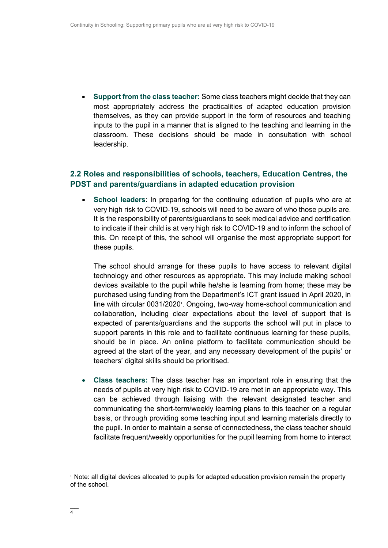**Support from the class teacher:** Some class teachers might decide that they can most appropriately address the practicalities of adapted education provision themselves, as they can provide support in the form of resources and teaching inputs to the pupil in a manner that is aligned to the teaching and learning in the classroom. These decisions should be made in consultation with school leadership.

### **2.2 Roles and responsibilities of schools, teachers, Education Centres, the PDST and parents/guardians in adapted education provision**

 **School leaders**: In preparing for the continuing education of pupils who are at very high risk to COVID-19, schools will need to be aware of who those pupils are. It is the responsibility of parents/guardians to seek medical advice and certification to indicate if their child is at very high risk to COVID-19 and to inform the school of this. On receipt of this, the school will organise the most appropriate support for these pupils.

The school should arrange for these pupils to have access to relevant digital technology and other resources as appropriate. This may include making school devices available to the pupil while he/she is learning from home; these may be purchased using funding from the Department's ICT grant issued in April 2020, in line with circular 0031/2020<sup>1</sup>. Ongoing, two-way home-school communication and collaboration, including clear expectations about the level of support that is expected of parents/guardians and the supports the school will put in place to support parents in this role and to facilitate continuous learning for these pupils, should be in place. An online platform to facilitate communication should be agreed at the start of the year, and any necessary development of the pupils' or teachers' digital skills should be prioritised.

 **Class teachers:** The class teacher has an important role in ensuring that the needs of pupils at very high risk to COVID-19 are met in an appropriate way. This can be achieved through liaising with the relevant designated teacher and communicating the short-term/weekly learning plans to this teacher on a regular basis, or through providing some teaching input and learning materials directly to the pupil. In order to maintain a sense of connectedness, the class teacher should facilitate frequent/weekly opportunities for the pupil learning from home to interact

 $\overline{a}$ 

**<sup>1</sup>** Note: all digital devices allocated to pupils for adapted education provision remain the property of the school.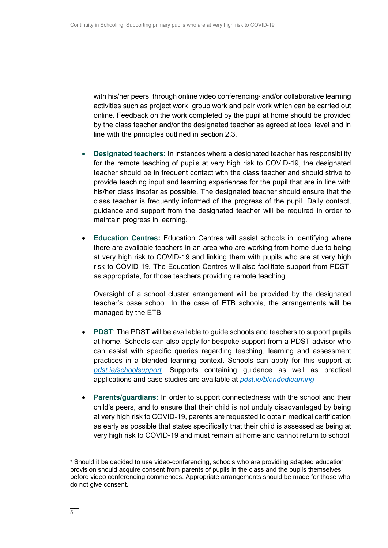with his/her peers, through online video conferencing**<sup>2</sup>** and/or collaborative learning activities such as project work, group work and pair work which can be carried out online. Feedback on the work completed by the pupil at home should be provided by the class teacher and/or the designated teacher as agreed at local level and in line with the principles outlined in section 2.3.

- **Designated teachers:** In instances where a designated teacher has responsibility for the remote teaching of pupils at very high risk to COVID-19, the designated teacher should be in frequent contact with the class teacher and should strive to provide teaching input and learning experiences for the pupil that are in line with his/her class insofar as possible. The designated teacher should ensure that the class teacher is frequently informed of the progress of the pupil. Daily contact, guidance and support from the designated teacher will be required in order to maintain progress in learning.
- **Education Centres:** Education Centres will assist schools in identifying where there are available teachers in an area who are working from home due to being at very high risk to COVID-19 and linking them with pupils who are at very high risk to COVID-19. The Education Centres will also facilitate support from PDST, as appropriate, for those teachers providing remote teaching.

Oversight of a school cluster arrangement will be provided by the designated teacher's base school. In the case of ETB schools, the arrangements will be managed by the ETB.

- **PDST**: The PDST will be available to guide schools and teachers to support pupils at home. Schools can also apply for bespoke support from a PDST advisor who can assist with specific queries regarding teaching, learning and assessment practices in a blended learning context. Schools can apply for this support at *[pdst.ie/schoolsupport](https://pdst.ie/schoolsupport)*. Supports containing guidance as well as practical applications and case studies are available at *[pdst.ie/blendedlearning](http://www.pdst.ie/blendedlearning)*
- **Parents/guardians:** In order to support connectedness with the school and their child's peers, and to ensure that their child is not unduly disadvantaged by being at very high risk to COVID-19, parents are requested to obtain medical certification as early as possible that states specifically that their child is assessed as being at very high risk to COVID-19 and must remain at home and cannot return to school.

 $\overline{a}$ 

**<sup>2</sup>** Should it be decided to use video-conferencing, schools who are providing adapted education provision should acquire consent from parents of pupils in the class and the pupils themselves before video conferencing commences. Appropriate arrangements should be made for those who do not give consent.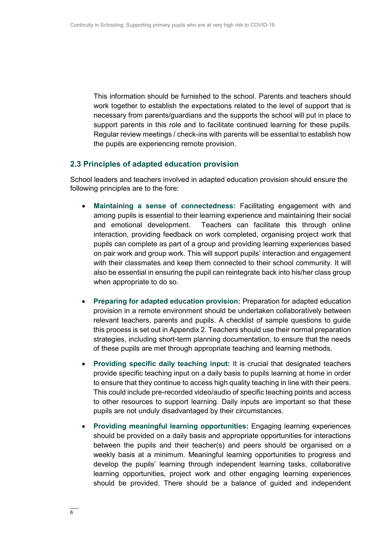This information should be furnished to the school. Parents and teachers should work together to establish the expectations related to the level of support that is necessary from parents/guardians and the supports the school will put in place to support parents in this role and to facilitate continued learning for these pupils. Regular review meetings / check-ins with parents will be essential to establish how the pupils are experiencing remote provision.

#### **2.3 Principles of adapted education provision**

School leaders and teachers involved in adapted education provision should ensure the following principles are to the fore:

- **Maintaining a sense of connectedness:** Facilitating engagement with and among pupils is essential to their learning experience and maintaining their social and emotional development. Teachers can facilitate this through online interaction, providing feedback on work completed, organising project work that pupils can complete as part of a group and providing learning experiences based on pair work and group work. This will support pupils' interaction and engagement with their classmates and keep them connected to their school community. It will also be essential in ensuring the pupil can reintegrate back into his/her class group when appropriate to do so.
- **Preparing for adapted education provision:** Preparation for adapted education provision in a remote environment should be undertaken collaboratively between relevant teachers, parents and pupils. A checklist of sample questions to guide this process is set out in Appendix 2. Teachers should use their normal preparation strategies, including short-term planning documentation, to ensure that the needs of these pupils are met through appropriate teaching and learning methods.
- **Providing specific daily teaching input:** It is crucial that designated teachers provide specific teaching input on a daily basis to pupils learning at home in order to ensure that they continue to access high quality teaching in line with their peers. This could include pre-recorded video/audio of specific teaching points and access to other resources to support learning. Daily inputs are important so that these pupils are not unduly disadvantaged by their circumstances.
- **Providing meaningful learning opportunities:** Engaging learning experiences should be provided on a daily basis and appropriate opportunities for interactions between the pupils and their teacher(s) and peers should be organised on a weekly basis at a minimum. Meaningful learning opportunities to progress and develop the pupils' learning through independent learning tasks, collaborative learning opportunities, project work and other engaging learning experiences should be provided. There should be a balance of guided and independent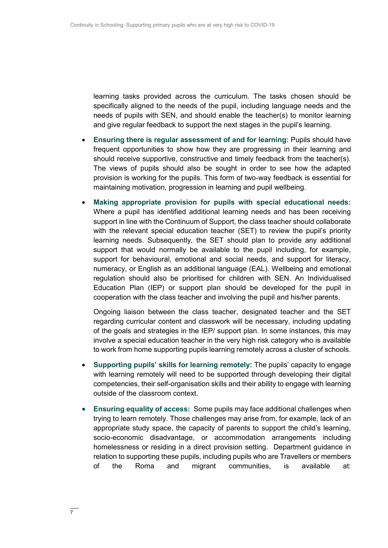learning tasks provided across the curriculum. The tasks chosen should be specifically aligned to the needs of the pupil, including language needs and the needs of pupils with SEN, and should enable the teacher(s) to monitor learning and give regular feedback to support the next stages in the pupil's learning.

- **Ensuring there is regular assessment of and for learning:** Pupils should have frequent opportunities to show how they are progressing in their learning and should receive supportive, constructive and timely feedback from the teacher(s). The views of pupils should also be sought in order to see how the adapted provision is working for the pupils. This form of two-way feedback is essential for maintaining motivation, progression in learning and pupil wellbeing.
- **Making appropriate provision for pupils with special educational needs:**  Where a pupil has identified additional learning needs and has been receiving support in line with the Continuum of Support, the class teacher should collaborate with the relevant special education teacher (SET) to review the pupil's priority learning needs. Subsequently, the SET should plan to provide any additional support that would normally be available to the pupil including, for example, support for behavioural, emotional and social needs, and support for literacy, numeracy, or English as an additional language (EAL). Wellbeing and emotional regulation should also be prioritised for children with SEN. An Individualised Education Plan (IEP) or support plan should be developed for the pupil in cooperation with the class teacher and involving the pupil and his/her parents.

Ongoing liaison between the class teacher, designated teacher and the SET regarding curricular content and classwork will be necessary, including updating of the goals and strategies in the IEP/ support plan. In some instances, this may involve a special education teacher in the very high risk category who is available to work from home supporting pupils learning remotely across a cluster of schools.

- **Supporting pupils' skills for learning remotely:** The pupils' capacity to engage with learning remotely will need to be supported through developing their digital competencies, their self-organisation skills and their ability to engage with learning outside of the classroom context.
- **Ensuring equality of access:** Some pupils may face additional challenges when trying to learn remotely. Those challenges may arise from, for example, lack of an appropriate study space, the capacity of parents to support the child's learning, socio-economic disadvantage, or accommodation arrangements including homelessness or residing in a direct provision setting. Department guidance in relation to supporting these pupils, including pupils who are Travellers or members of the Roma and migrant communities, is available at: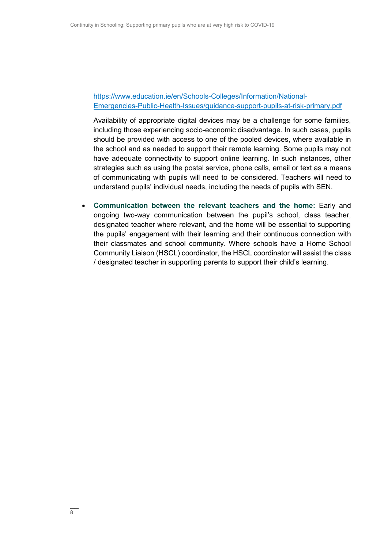### [https://www.education.ie/en/Schools-Colleges/Information/National-](https://www.education.ie/en/Schools-Colleges/Information/National-Emergencies-Public-Health-Issues/guidance-support-pupils-at-risk-primary.pdf)[Emergencies-Public-Health-Issues/guidance-support-pupils-at-risk-primary.pdf](https://www.education.ie/en/Schools-Colleges/Information/National-Emergencies-Public-Health-Issues/guidance-support-pupils-at-risk-primary.pdf)

Availability of appropriate digital devices may be a challenge for some families, including those experiencing socio-economic disadvantage. In such cases, pupils should be provided with access to one of the pooled devices, where available in the school and as needed to support their remote learning. Some pupils may not have adequate connectivity to support online learning. In such instances, other strategies such as using the postal service, phone calls, email or text as a means of communicating with pupils will need to be considered. Teachers will need to understand pupils' individual needs, including the needs of pupils with SEN.

 **Communication between the relevant teachers and the home:** Early and ongoing two-way communication between the pupil's school, class teacher, designated teacher where relevant, and the home will be essential to supporting the pupils' engagement with their learning and their continuous connection with their classmates and school community. Where schools have a Home School Community Liaison (HSCL) coordinator, the HSCL coordinator will assist the class / designated teacher in supporting parents to support their child's learning.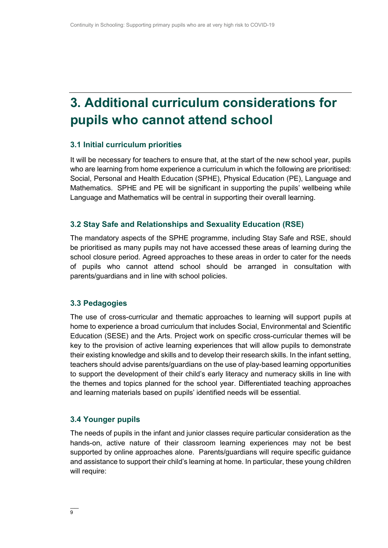### **3. Additional curriculum considerations for pupils who cannot attend school**

#### **3.1 Initial curriculum priorities**

It will be necessary for teachers to ensure that, at the start of the new school year, pupils who are learning from home experience a curriculum in which the following are prioritised: Social, Personal and Health Education (SPHE), Physical Education (PE), Language and Mathematics. SPHE and PE will be significant in supporting the pupils' wellbeing while Language and Mathematics will be central in supporting their overall learning.

#### **3.2 Stay Safe and Relationships and Sexuality Education (RSE)**

The mandatory aspects of the SPHE programme, including Stay Safe and RSE, should be prioritised as many pupils may not have accessed these areas of learning during the school closure period. Agreed approaches to these areas in order to cater for the needs of pupils who cannot attend school should be arranged in consultation with parents/guardians and in line with school policies.

#### **3.3 Pedagogies**

The use of cross-curricular and thematic approaches to learning will support pupils at home to experience a broad curriculum that includes Social, Environmental and Scientific Education (SESE) and the Arts. Project work on specific cross-curricular themes will be key to the provision of active learning experiences that will allow pupils to demonstrate their existing knowledge and skills and to develop their research skills. In the infant setting, teachers should advise parents/guardians on the use of play-based learning opportunities to support the development of their child's early literacy and numeracy skills in line with the themes and topics planned for the school year. Differentiated teaching approaches and learning materials based on pupils' identified needs will be essential.

#### **3.4 Younger pupils**

The needs of pupils in the infant and junior classes require particular consideration as the hands-on, active nature of their classroom learning experiences may not be best supported by online approaches alone. Parents/guardians will require specific guidance and assistance to support their child's learning at home. In particular, these young children will require: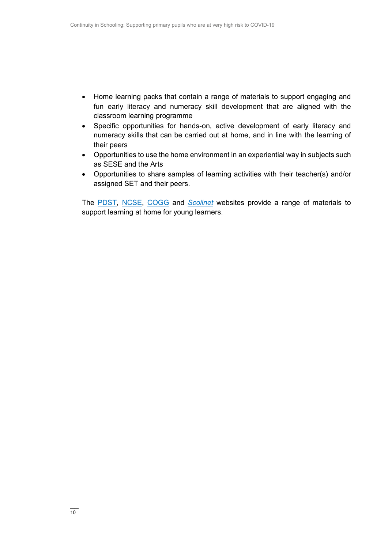- Home learning packs that contain a range of materials to support engaging and fun early literacy and numeracy skill development that are aligned with the classroom learning programme
- Specific opportunities for hands-on, active development of early literacy and numeracy skills that can be carried out at home, and in line with the learning of their peers
- Opportunities to use the home environment in an experiential way in subjects such as SESE and the Arts
- Opportunities to share samples of learning activities with their teacher(s) and/or assigned SET and their peers.

The [PDST,](http://www.pdst.ie/) [NCSE,](http://www.ncse.ie/) [COGG](https://www.cogg.ie/) and *[Scoilnet](http://www.scoilnet.ie/)* websites provide a range of materials to support learning at home for young learners.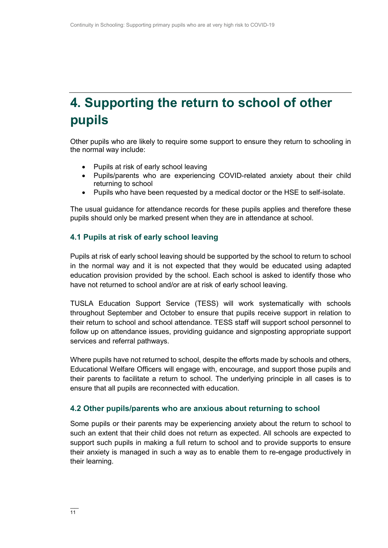## **4. Supporting the return to school of other pupils**

Other pupils who are likely to require some support to ensure they return to schooling in the normal way include:

- Pupils at risk of early school leaving
- Pupils/parents who are experiencing COVID-related anxiety about their child returning to school
- Pupils who have been requested by a medical doctor or the HSE to self-isolate.

The usual guidance for attendance records for these pupils applies and therefore these pupils should only be marked present when they are in attendance at school.

### **4.1 Pupils at risk of early school leaving**

Pupils at risk of early school leaving should be supported by the school to return to school in the normal way and it is not expected that they would be educated using adapted education provision provided by the school. Each school is asked to identify those who have not returned to school and/or are at risk of early school leaving.

TUSLA Education Support Service (TESS) will work systematically with schools throughout September and October to ensure that pupils receive support in relation to their return to school and school attendance. TESS staff will support school personnel to follow up on attendance issues, providing guidance and signposting appropriate support services and referral pathways.

Where pupils have not returned to school, despite the efforts made by schools and others, Educational Welfare Officers will engage with, encourage, and support those pupils and their parents to facilitate a return to school. The underlying principle in all cases is to ensure that all pupils are reconnected with education.

### **4.2 Other pupils/parents who are anxious about returning to school**

Some pupils or their parents may be experiencing anxiety about the return to school to such an extent that their child does not return as expected. All schools are expected to support such pupils in making a full return to school and to provide supports to ensure their anxiety is managed in such a way as to enable them to re-engage productively in their learning.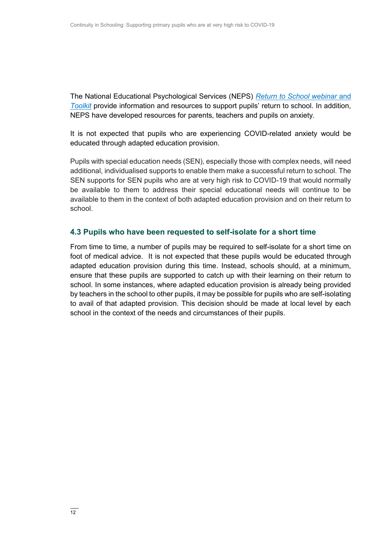The National Educational Psychological Services (NEPS) *[Return to School](https://www.gov.ie/en/publication/0722b-wellbeing-resources/) webinar* and *[Toolkit](https://www.gov.ie/en/publication/0722b-wellbeing-resources/)* provide information and resources to support pupils' return to school. In addition, NEPS have developed resources for parents, teachers and pupils on anxiety.

It is not expected that pupils who are experiencing COVID-related anxiety would be educated through adapted education provision.

Pupils with special education needs (SEN), especially those with complex needs, will need additional, individualised supports to enable them make a successful return to school. The SEN supports for SEN pupils who are at very high risk to COVID-19 that would normally be available to them to address their special educational needs will continue to be available to them in the context of both adapted education provision and on their return to school.

### **4.3 Pupils who have been requested to self-isolate for a short time**

From time to time, a number of pupils may be required to self-isolate for a short time on foot of medical advice. It is not expected that these pupils would be educated through adapted education provision during this time. Instead, schools should, at a minimum, ensure that these pupils are supported to catch up with their learning on their return to school. In some instances, where adapted education provision is already being provided by teachers in the school to other pupils, it may be possible for pupils who are self-isolating to avail of that adapted provision. This decision should be made at local level by each school in the context of the needs and circumstances of their pupils.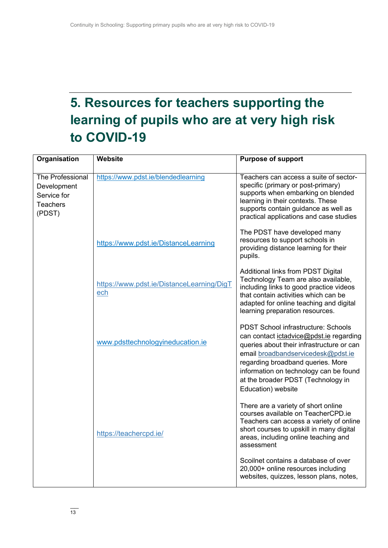# **5. Resources for teachers supporting the learning of pupils who are at very high risk to COVID-19**

| Organisation                                                                | Website                                          | <b>Purpose of support</b>                                                                                                                                                                                                                                                                                           |
|-----------------------------------------------------------------------------|--------------------------------------------------|---------------------------------------------------------------------------------------------------------------------------------------------------------------------------------------------------------------------------------------------------------------------------------------------------------------------|
| The Professional<br>Development<br>Service for<br><b>Teachers</b><br>(PDST) | https://www.pdst.ie/blendedlearning              | Teachers can access a suite of sector-<br>specific (primary or post-primary)<br>supports when embarking on blended<br>learning in their contexts. These<br>supports contain guidance as well as<br>practical applications and case studies                                                                          |
|                                                                             | https://www.pdst.ie/DistanceLearning             | The PDST have developed many<br>resources to support schools in<br>providing distance learning for their<br>pupils.                                                                                                                                                                                                 |
|                                                                             | https://www.pdst.ie/DistanceLearning/DigT<br>ech | Additional links from PDST Digital<br>Technology Team are also available,<br>including links to good practice videos<br>that contain activities which can be<br>adapted for online teaching and digital<br>learning preparation resources.                                                                          |
|                                                                             | www.pdsttechnologyineducation.ie                 | <b>PDST School infrastructure: Schools</b><br>can contact ictadvice@pdst.ie regarding<br>queries about their infrastructure or can<br>email broadbandservicedesk@pdst.ie<br>regarding broadband queries. More<br>information on technology can be found<br>at the broader PDST (Technology in<br>Education) website |
|                                                                             | https://teachercpd.ie/                           | There are a variety of short online<br>courses available on TeacherCPD.ie<br>Teachers can access a variety of online<br>short courses to upskill in many digital<br>areas, including online teaching and<br>assessment                                                                                              |
|                                                                             |                                                  | Scoilnet contains a database of over<br>20,000+ online resources including<br>websites, quizzes, lesson plans, notes,                                                                                                                                                                                               |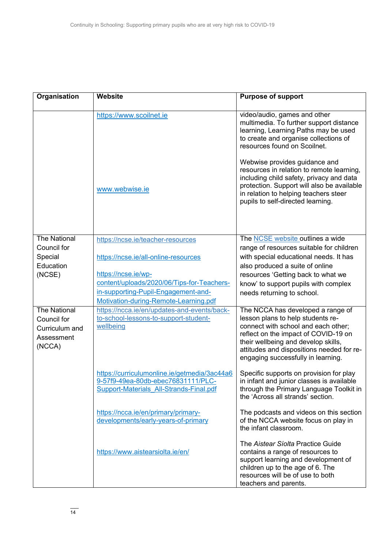| Organisation                                                                 | Website                                                                                                                       | <b>Purpose of support</b>                                                                                                                                                                                                                                                                                                                                                                                                                      |
|------------------------------------------------------------------------------|-------------------------------------------------------------------------------------------------------------------------------|------------------------------------------------------------------------------------------------------------------------------------------------------------------------------------------------------------------------------------------------------------------------------------------------------------------------------------------------------------------------------------------------------------------------------------------------|
|                                                                              | https://www.scoilnet.ie<br>www.webwise.ie                                                                                     | video/audio, games and other<br>multimedia. To further support distance<br>learning, Learning Paths may be used<br>to create and organise collections of<br>resources found on Scoilnet.<br>Webwise provides guidance and<br>resources in relation to remote learning,<br>including child safety, privacy and data<br>protection. Support will also be available<br>in relation to helping teachers steer<br>pupils to self-directed learning. |
| <b>The National</b><br>Council for                                           | https://ncse.ie/teacher-resources                                                                                             | The <b>NCSE</b> website outlines a wide<br>range of resources suitable for children                                                                                                                                                                                                                                                                                                                                                            |
| Special                                                                      | https://ncse.ie/all-online-resources                                                                                          | with special educational needs. It has                                                                                                                                                                                                                                                                                                                                                                                                         |
| Education                                                                    |                                                                                                                               | also produced a suite of online                                                                                                                                                                                                                                                                                                                                                                                                                |
| (NCSE)                                                                       | https://ncse.ie/wp-<br>content/uploads/2020/06/Tips-for-Teachers-                                                             | resources 'Getting back to what we                                                                                                                                                                                                                                                                                                                                                                                                             |
|                                                                              | in-supporting-Pupil-Engagement-and-                                                                                           | know' to support pupils with complex                                                                                                                                                                                                                                                                                                                                                                                                           |
|                                                                              | Motivation-during-Remote-Learning.pdf                                                                                         | needs returning to school.                                                                                                                                                                                                                                                                                                                                                                                                                     |
| <b>The National</b><br>Council for<br>Curriculum and<br>Assessment<br>(NCCA) | https://ncca.ie/en/updates-and-events/back-<br>to-school-lessons-to-support-student-<br>wellbeing                             | The NCCA has developed a range of<br>lesson plans to help students re-<br>connect with school and each other;<br>reflect on the impact of COVID-19 on<br>their wellbeing and develop skills,<br>attitudes and dispositions needed for re-<br>engaging successfully in learning.                                                                                                                                                                |
|                                                                              | https://curriculumonline.ie/getmedia/3ac44a6<br>9-57f9-49ea-80db-ebec76831111/PLC-<br>Support-Materials All-Strands-Final.pdf | Specific supports on provision for play<br>in infant and junior classes is available<br>through the Primary Language Toolkit in<br>the 'Across all strands' section.                                                                                                                                                                                                                                                                           |
|                                                                              | https://ncca.ie/en/primary/primary-<br>developments/early-years-of-primary                                                    | The podcasts and videos on this section<br>of the NCCA website focus on play in<br>the infant classroom.                                                                                                                                                                                                                                                                                                                                       |
|                                                                              | https://www.aistearsiolta.ie/en/                                                                                              | The Aistear Síolta Practice Guide<br>contains a range of resources to<br>support learning and development of<br>children up to the age of 6. The<br>resources will be of use to both<br>teachers and parents.                                                                                                                                                                                                                                  |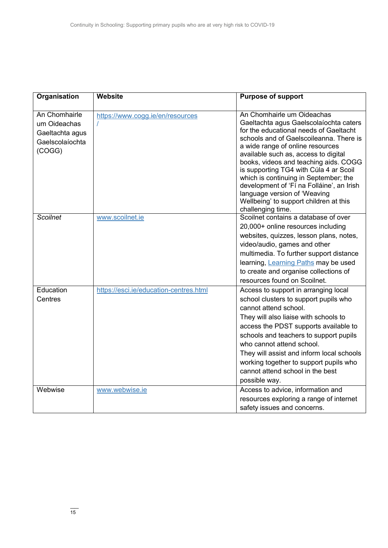| Organisation                                                                  | <b>Website</b>                         | <b>Purpose of support</b>                                                                                                                                                                                                                                                                                                                                                                                                                                                                                     |
|-------------------------------------------------------------------------------|----------------------------------------|---------------------------------------------------------------------------------------------------------------------------------------------------------------------------------------------------------------------------------------------------------------------------------------------------------------------------------------------------------------------------------------------------------------------------------------------------------------------------------------------------------------|
| An Chomhairle<br>um Oideachas<br>Gaeltachta agus<br>Gaelscolaíochta<br>(COGG) | https://www.cogg.ie/en/resources       | An Chomhairle um Oideachas<br>Gaeltachta agus Gaelscolaíochta caters<br>for the educational needs of Gaeltacht<br>schools and of Gaelscoileanna. There is<br>a wide range of online resources<br>available such as, access to digital<br>books, videos and teaching aids. COGG<br>is supporting TG4 with Cúla 4 ar Scoil<br>which is continuing in September; the<br>development of 'Fí na Folláine', an Irish<br>language version of 'Weaving<br>Wellbeing' to support children at this<br>challenging time. |
| <b>Scoilnet</b>                                                               | www.scoilnet.ie                        | Scoilnet contains a database of over<br>20,000+ online resources including<br>websites, quizzes, lesson plans, notes,<br>video/audio, games and other<br>multimedia. To further support distance<br>learning, Learning Paths may be used<br>to create and organise collections of<br>resources found on Scoilnet.                                                                                                                                                                                             |
| Education<br>Centres                                                          | https://esci.ie/education-centres.html | Access to support in arranging local<br>school clusters to support pupils who<br>cannot attend school.<br>They will also liaise with schools to<br>access the PDST supports available to<br>schools and teachers to support pupils<br>who cannot attend school.<br>They will assist and inform local schools<br>working together to support pupils who<br>cannot attend school in the best<br>possible way.                                                                                                   |
| Webwise                                                                       | www.webwise.ie                         | Access to advice, information and<br>resources exploring a range of internet<br>safety issues and concerns.                                                                                                                                                                                                                                                                                                                                                                                                   |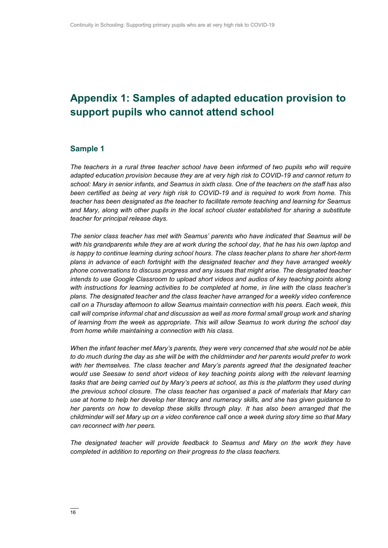### <span id="page-15-0"></span>**Appendix 1: Samples of adapted education provision to support pupils who cannot attend school**

### **Sample 1**

*The teachers in a rural three teacher school have been informed of two pupils who will require adapted education provision because they are at very high risk to COVID-19 and cannot return to school: Mary in senior infants, and Seamus in sixth class. One of the teachers on the staff has also been certified as being at very high risk to COVID-19 and is required to work from home. This teacher has been designated as the teacher to facilitate remote teaching and learning for Seamus and Mary, along with other pupils in the local school cluster established for sharing a substitute teacher for principal release days.*

*The senior class teacher has met with Seamus' parents who have indicated that Seamus will be with his grandparents while they are at work during the school day, that he has his own laptop and is happy to continue learning during school hours. The class teacher plans to share her short-term plans in advance of each fortnight with the designated teacher and they have arranged weekly phone conversations to discuss progress and any issues that might arise. The designated teacher intends to use Google Classroom to upload short videos and audios of key teaching points along with instructions for learning activities to be completed at home, in line with the class teacher's plans. The designated teacher and the class teacher have arranged for a weekly video conference call on a Thursday afternoon to allow Seamus maintain connection with his peers. Each week, this call will comprise informal chat and discussion as well as more formal small group work and sharing of learning from the week as appropriate. This will allow Seamus to work during the school day from home while maintaining a connection with his class.*

*When the infant teacher met Mary's parents, they were very concerned that she would not be able to do much during the day as she will be with the childminder and her parents would prefer to work with her themselves. The class teacher and Mary's parents agreed that the designated teacher would use Seesaw to send short videos of key teaching points along with the relevant learning tasks that are being carried out by Mary's peers at school, as this is the platform they used during the previous school closure. The class teacher has organised a pack of materials that Mary can use at home to help her develop her literacy and numeracy skills, and she has given guidance to her parents on how to develop these skills through play. It has also been arranged that the childminder will set Mary up on a video conference call once a week during story time so that Mary can reconnect with her peers.*

*The designated teacher will provide feedback to Seamus and Mary on the work they have completed in addition to reporting on their progress to the class teachers.*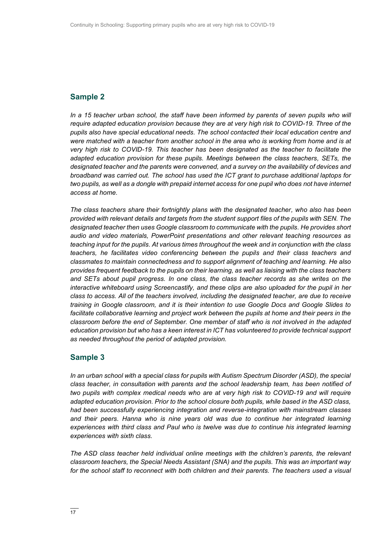### **Sample 2**

*In a 15 teacher urban school, the staff have been informed by parents of seven pupils who will require adapted education provision because they are at very high risk to COVID-19. Three of the pupils also have special educational needs. The school contacted their local education centre and were matched with a teacher from another school in the area who is working from home and is at very high risk to COVID-19. This teacher has been designated as the teacher to facilitate the adapted education provision for these pupils. Meetings between the class teachers, SETs, the designated teacher and the parents were convened, and a survey on the availability of devices and broadband was carried out. The school has used the ICT grant to purchase additional laptops for two pupils, as well as a dongle with prepaid internet access for one pupil who does not have internet access at home.* 

*The class teachers share their fortnightly plans with the designated teacher, who also has been provided with relevant details and targets from the student support files of the pupils with SEN. The designated teacher then uses Google classroom to communicate with the pupils. He provides short audio and video materials, PowerPoint presentations and other relevant teaching resources as teaching input for the pupils. At various times throughout the week and in conjunction with the class teachers, he facilitates video conferencing between the pupils and their class teachers and classmates to maintain connectedness and to support alignment of teaching and learning. He also provides frequent feedback to the pupils on their learning, as well as liaising with the class teachers and SETs about pupil progress. In one class, the class teacher records as she writes on the interactive whiteboard using Screencastify, and these clips are also uploaded for the pupil in her class to access. All of the teachers involved, including the designated teacher, are due to receive training in Google classroom, and it is their intention to use Google Docs and Google Slides to facilitate collaborative learning and project work between the pupils at home and their peers in the classroom before the end of September. One member of staff who is not involved in the adapted education provision but who has a keen interest in ICT has volunteered to provide technical support as needed throughout the period of adapted provision.*

### **Sample 3**

*In an urban school with a special class for pupils with Autism Spectrum Disorder (ASD), the special class teacher, in consultation with parents and the school leadership team, has been notified of two pupils with complex medical needs who are at very high risk to COVID-19 and will require adapted education provision. Prior to the school closure both pupils, while based in the ASD class, had been successfully experiencing integration and reverse-integration with mainstream classes and their peers. Hanna who is nine years old was due to continue her integrated learning experiences with third class and Paul who is twelve was due to continue his integrated learning experiences with sixth class.* 

*The ASD class teacher held individual online meetings with the children's parents, the relevant classroom teachers, the Special Needs Assistant (SNA) and the pupils. This was an important way for the school staff to reconnect with both children and their parents. The teachers used a visual*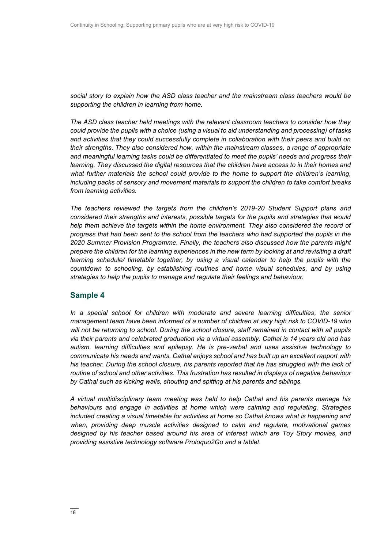*social story to explain how the ASD class teacher and the mainstream class teachers would be supporting the children in learning from home.*

*The ASD class teacher held meetings with the relevant classroom teachers to consider how they could provide the pupils with a choice (using a visual to aid understanding and processing) of tasks and activities that they could successfully complete in collaboration with their peers and build on their strengths. They also considered how, within the mainstream classes, a range of appropriate and meaningful learning tasks could be differentiated to meet the pupils' needs and progress their learning. They discussed the digital resources that the children have access to in their homes and what further materials the school could provide to the home to support the children's learning, including packs of sensory and movement materials to support the children to take comfort breaks from learning activities.* 

*The teachers reviewed the targets from the children's 2019-20 Student Support plans and considered their strengths and interests, possible targets for the pupils and strategies that would*  help them achieve the targets within the home environment. They also considered the record of *progress that had been sent to the school from the teachers who had supported the pupils in the 2020 Summer Provision Programme. Finally, the teachers also discussed how the parents might prepare the children for the learning experiences in the new term by looking at and revisiting a draft learning schedule/ timetable together, by using a visual calendar to help the pupils with the countdown to schooling, by establishing routines and home visual schedules, and by using strategies to help the pupils to manage and regulate their feelings and behaviour.*

### **Sample 4**

*In a special school for children with moderate and severe learning difficulties, the senior management team have been informed of a number of children at very high risk to COVID-19 who will not be returning to school. During the school closure, staff remained in contact with all pupils via their parents and celebrated graduation via a virtual assembly. Cathal is 14 years old and has autism, learning difficulties and epilepsy. He is pre-verbal and uses assistive technology to communicate his needs and wants. Cathal enjoys school and has built up an excellent rapport with his teacher. During the school closure, his parents reported that he has struggled with the lack of routine of school and other activities. This frustration has resulted in displays of negative behaviour by Cathal such as kicking walls, shouting and spitting at his parents and siblings.*

*A virtual multidisciplinary team meeting was held to help Cathal and his parents manage his behaviours and engage in activities at home which were calming and regulating. Strategies included creating a visual timetable for activities at home so Cathal knows what is happening and when, providing deep muscle activities designed to calm and regulate, motivational games designed by his teacher based around his area of interest which are Toy Story movies, and providing assistive technology software Proloquo2Go and a tablet.*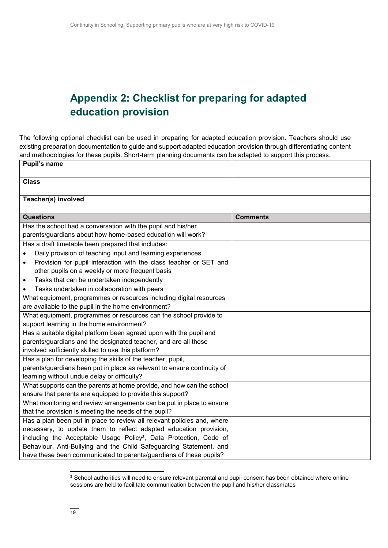### **Appendix 2: Checklist for preparing for adapted education provision**

The following optional checklist can be used in preparing for adapted education provision. Teachers should use existing preparation documentation to guide and support adapted education provision through differentiating content and methodologies for these pupils. Short-term planning documents can be adapted to support this process.

| <b>Pupil's name</b>                                                            |                 |
|--------------------------------------------------------------------------------|-----------------|
| <b>Class</b>                                                                   |                 |
| Teacher(s) involved                                                            |                 |
| <b>Questions</b>                                                               | <b>Comments</b> |
| Has the school had a conversation with the pupil and his/her                   |                 |
| parents/guardians about how home-based education will work?                    |                 |
| Has a draft timetable been prepared that includes:                             |                 |
| Daily provision of teaching input and learning experiences                     |                 |
| Provision for pupil interaction with the class teacher or SET and<br>$\bullet$ |                 |
| other pupils on a weekly or more frequent basis                                |                 |
| Tasks that can be undertaken independently<br>$\bullet$                        |                 |
| Tasks undertaken in collaboration with peers<br>$\bullet$                      |                 |
| What equipment, programmes or resources including digital resources            |                 |
| are available to the pupil in the home environment?                            |                 |
| What equipment, programmes or resources can the school provide to              |                 |
| support learning in the home environment?                                      |                 |
| Has a suitable digital platform been agreed upon with the pupil and            |                 |
| parents/guardians and the designated teacher, and are all those                |                 |
| involved sufficiently skilled to use this platform?                            |                 |
| Has a plan for developing the skills of the teacher, pupil,                    |                 |
| parents/guardians been put in place as relevant to ensure continuity of        |                 |
| learning without undue delay or difficulty?                                    |                 |
| What supports can the parents at home provide, and how can the school          |                 |
| ensure that parents are equipped to provide this support?                      |                 |
| What monitoring and review arrangements can be put in place to ensure          |                 |
| that the provision is meeting the needs of the pupil?                          |                 |
| Has a plan been put in place to review all relevant policies and, where        |                 |
| necessary, to update them to reflect adapted education provision,              |                 |
| including the Acceptable Usage Policy <sup>3</sup> , Data Protection, Code of  |                 |
| Behaviour, Anti-Bullying and the Child Safeguarding Statement, and             |                 |
| have these been communicated to parents/guardians of these pupils?             |                 |

 $\overline{a}$ 

**<sup>3</sup>** School authorities will need to ensure relevant parental and pupil consent has been obtained where online sessions are held to facilitate communication between the pupil and his/her classmates